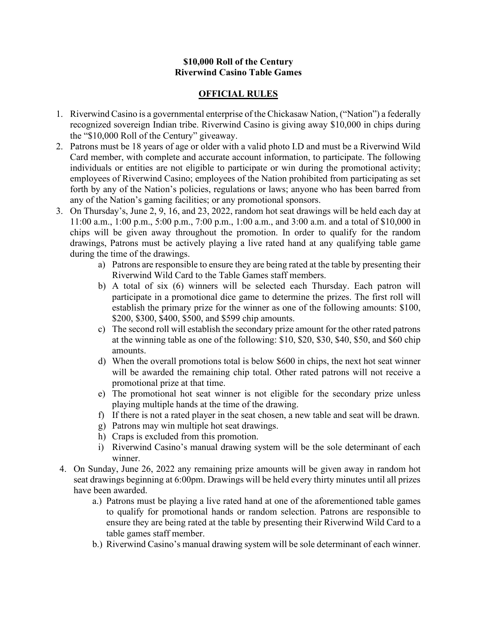## **\$10,000 Roll of the Century Riverwind Casino Table Games**

## **OFFICIAL RULES**

- 1. Riverwind Casino is a governmental enterprise of the Chickasaw Nation, ("Nation") a federally recognized sovereign Indian tribe. Riverwind Casino is giving away \$10,000 in chips during the "\$10,000 Roll of the Century" giveaway.
- 2. Patrons must be 18 years of age or older with a valid photo I.D and must be a Riverwind Wild Card member, with complete and accurate account information, to participate. The following individuals or entities are not eligible to participate or win during the promotional activity; employees of Riverwind Casino; employees of the Nation prohibited from participating as set forth by any of the Nation's policies, regulations or laws; anyone who has been barred from any of the Nation's gaming facilities; or any promotional sponsors.
- 3. On Thursday's, June 2, 9, 16, and 23, 2022, random hot seat drawings will be held each day at 11:00 a.m., 1:00 p.m., 5:00 p.m., 7:00 p.m., 1:00 a.m., and 3:00 a.m. and a total of \$10,000 in chips will be given away throughout the promotion. In order to qualify for the random drawings, Patrons must be actively playing a live rated hand at any qualifying table game during the time of the drawings.
	- a) Patrons are responsible to ensure they are being rated at the table by presenting their Riverwind Wild Card to the Table Games staff members.
	- b) A total of six (6) winners will be selected each Thursday. Each patron will participate in a promotional dice game to determine the prizes. The first roll will establish the primary prize for the winner as one of the following amounts: \$100, \$200, \$300, \$400, \$500, and \$599 chip amounts.
	- c) The second roll will establish the secondary prize amount for the other rated patrons at the winning table as one of the following: \$10, \$20, \$30, \$40, \$50, and \$60 chip amounts.
	- d) When the overall promotions total is below \$600 in chips, the next hot seat winner will be awarded the remaining chip total. Other rated patrons will not receive a promotional prize at that time.
	- e) The promotional hot seat winner is not eligible for the secondary prize unless playing multiple hands at the time of the drawing.
	- f) If there is not a rated player in the seat chosen, a new table and seat will be drawn.
	- g) Patrons may win multiple hot seat drawings.
	- h) Craps is excluded from this promotion.
	- i) Riverwind Casino's manual drawing system will be the sole determinant of each winner.
- 4. On Sunday, June 26, 2022 any remaining prize amounts will be given away in random hot seat drawings beginning at 6:00pm. Drawings will be held every thirty minutes until all prizes have been awarded.
	- a.) Patrons must be playing a live rated hand at one of the aforementioned table games to qualify for promotional hands or random selection. Patrons are responsible to ensure they are being rated at the table by presenting their Riverwind Wild Card to a table games staff member.
	- b.) Riverwind Casino's manual drawing system will be sole determinant of each winner.